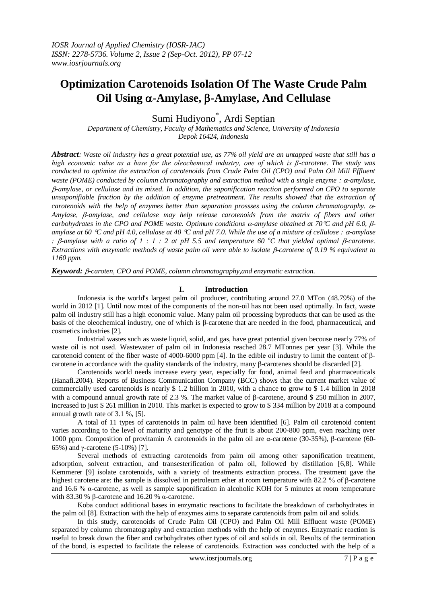# **Optimization Carotenoids Isolation Of The Waste Crude Palm Oil Using -Amylase, -Amylase, And Cellulase**

Sumi Hudiyono\* , Ardi Septian

*Department of Chemistry, Faculty of Mathematics and Science, University of Indonesia Depok 16424, Indonesia*

*Abstract: Waste oil industry has a great potential use, as 77% oil yield are an untapped waste that still has a high economic value as a base for the oleochemical industry, one of which is β-carotene. The study was conducted to optimize the extraction of carotenoids from Crude Palm Oil (CPO) and Palm Oil Mill Effluent waste (POME) conducted by column chromatography and extraction method with a single enzyme : -amylase, -amylase, or cellulase and its mixed. In addition, the saponification reaction performed on CPO to separate unsaponifiable fraction by the addition of enzyme pretreatment. The results showed that the extraction of carotenoids with the help of enzymes better than separation prossses using the column chromatography.*  $\alpha$ -Amylase,  $\beta$ -amylase, and cellulase may help release carotenoids from the matrix of fibers and other *carbohydrates in the CPO and POME waste. Optimum conditions*  $\alpha$ *-amylase obtained at 70<sup>* $\alpha$ *</sup> and pH 6.0,*  $\beta$ *amylase at 60 C and pH 4.0, cellulase at 40 C and pH 7.0. While the use of a mixture of cellulose : -amylase : B-amylase with a ratio of 1 : 1 : 2 at pH 5.5 and temperature 60*  $^{\circ}$ *C that yielded optimal B-carotene. Extractions with enzymatic methods of waste palm oil were able to isolate B-carotene of 0.19 % equivalent to 1160 ppm.*

*Keyword: -caroten, CPO and POME, column chromatography,and enzymatic extraction.*

# **I. Introduction**

Indonesia is the world's largest palm oil producer, contributing around 27.0 MTon (48.79%) of the world in 2012 [1]. Until now most of the components of the non-oil has not been used optimally. In fact, waste palm oil industry still has a high economic value. Many palm oil processing byproducts that can be used as the basis of the oleochemical industry, one of which is β-carotene that are needed in the food, pharmaceutical, and cosmetics industries [2].

Industrial wastes such as waste liquid, solid, and gas, have great potential given becouse nearly 77% of waste oil is not used. Wastewater of palm oil in Indonesia reached 28.7 MTonnes per year [3]. While the carotenoid content of the fiber waste of 4000-6000 ppm [4]. In the edible oil industry to limit the content of βcarotene in accordance with the quality standards of the industry, many β-carotenes should be discarded [2].

Carotenoids world needs increase every year, especially for food, animal feed and pharmaceuticals (Hanafi.2004). Reports of Business Communication Company (BCC) shows that the current market value of commercially used carotenoids is nearly \$ 1.2 billion in 2010, with a chance to grow to \$ 1.4 billion in 2018 with a compound annual growth rate of 2.3 %. The market value of  $\beta$ -carotene, around \$ 250 million in 2007, increased to just \$ 261 million in 2010. This market is expected to grow to \$ 334 million by 2018 at a compound annual growth rate of 3.1 %, [5].

A total of 11 types of carotenoids in palm oil have been identified [6]. Palm oil carotenoid content varies according to the level of maturity and genotype of the fruit is about 200-800 ppm, even reaching over 1000 ppm. Composition of provitamin A carotenoids in the palm oil are α-carotene (30-35%), β-carotene (60- 65%) and  $\gamma$ -carotene (5-10%) [7].

Several methods of extracting carotenoids from palm oil among other saponification treatment, adsorption, solvent extraction, and transesterification of palm oil, followed by distillation [6,8]. While Kemmerer [9] isolate carotenoids, with a variety of treatments extraction process. The treatment gave the highest carotene are: the sample is dissolved in petroleum ether at room temperature with 82.2 % of β-carotene and 16.6 % α-carotene, as well as sample saponification in alcoholic KOH for 5 minutes at room temperature with 83.30 % β-carotene and 16.20 % α-carotene.

Koba conduct additional bases in enzymatic reactions to facilitate the breakdown of carbohydrates in the palm oil [8]. Extraction with the help of enzymes aims to separate carotenoids from palm oil and solids.

In this study, carotenoids of Crude Palm Oil (CPO) and Palm Oil Mill Effluent waste (POME) separated by column chromatography and extraction methods with the help of enzymes. Enzymatic reaction is useful to break down the fiber and carbohydrates other types of oil and solids in oil. Results of the termination of the bond, is expected to facilitate the release of carotenoids. Extraction was conducted with the help of a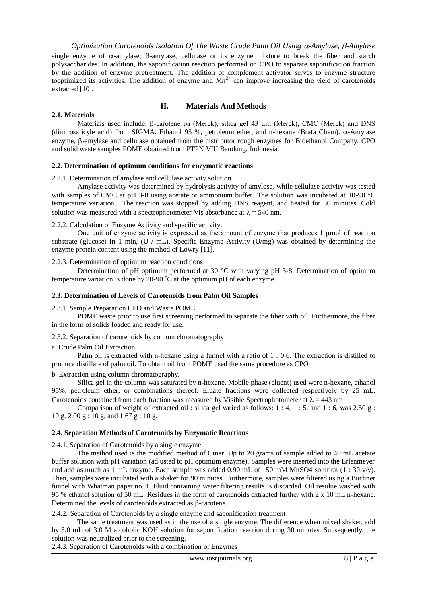*Optimization Carotenoids Isolation Of The Waste Crude Palm Oil Using -Amylase, -Amylase*

single enzyme of  $\alpha$ -amylase,  $\beta$ -amylase, cellulase or its enzyme mixture to break the fiber and starch polysaccharides. In addition, the saponification reaction performed on CPO to separate saponification fraction by the addition of enzyme pretreatment. The addition of complement activator serves to enzyme structure tooptimized its activities. The addition of enzyme and  $Mn^{2+}$  can improve increasing the yield of carotenoids extracted [10].

# **II. Materials And Methods**

## **2.1. Materials**

Materials used include:  $\beta$ -carotene pa (Merck), silica gel 43 μm (Merck), CMC (Merck) and DNS (dinitrosalicyle acid) from SIGMA. Ethanol 95 %, petroleum ether, and n-hexane (Brata Chem).  $\alpha$ -Amylase enzyme,  $\beta$ -amylase and cellulase obtained from the distributor rough enzymes for Bioethanol Company. CPO and solid waste samples POME obtained from PTPN VIII Bandung, Indonesia.

## **2.2. Determination of optimum conditions for enzymatic reactions**

2.2.1. Determination of amylase and cellulase activity solution

Amylase activity was determined by hydrolysis activity of amylose, while cellulase activity was tested with samples of CMC at pH 3-8 using acetate or ammonium buffer. The solution was incubated at 10-90  $^{\circ}$ C temperature variation. The reaction was stopped by adding DNS reagent, and heated for 30 minutes. Cold solution was measured with a spectrophotometer Vis absorbance at  $\lambda = 540$  nm.

## 2.2.2. Calculation of Enzyme Activity and specific activity.

One unit of enzyme activity is expressed as the amount of enzyme that produces 1 μmol of reaction substrate (glucose) in 1 min,  $(U / mL)$ . Specific Enzyme Activity (U/mg) was obtained by determining the enzyme protein content using the method of Lowry [11].

### 2.2.3. Determination of optimum reaction conditions

Determination of pH optimum performed at 30  $^{\circ}$ C with varying pH 3-8. Determination of optimum temperature variation is done by  $20-90\degree C$  at the optimum pH of each enzyme.

#### **2.3. Determination of Levels of Carotenoids from Palm Oil Samples**

#### 2.3.1. Sample Preparation CPO and Waste POME

POME waste prior to use first screening performed to separate the fiber with oil. Furthermore, the fiber in the form of solids loaded and ready for use.

## 2.3.2. Separation of carotenoids by column chromatography

a. Crude Palm Oil Extraction.

Palm oil is extracted with n-hexane using a funnel with a ratio of 1 : 0.6. The extraction is distilled to produce distillate of palm oil. To obtain oil from POME used the same procedure as CPO.

#### b. Extraction using column chromatography.

Silica gel in the column was saturated by n-hexane. Mobile phase (eluent) used were n-hexane, ethanol 95%, petroleum ether, or combinations thereof. Eluate fractions were collected respectively by 25 mL. Carotenoids contained from each fraction was measured by Visible Spectrophotometer at  $\lambda = 443$  nm

Comparison of weight of extracted oil : silica gel varied as follows: 1 : 4, 1 : 5, and 1 : 6, was 2.50 g : 10 g, 2.00 g : 10 g, and 1.67 g : 10 g.

## **2.4. Separation Methods of Carotenoids by Enzymatic Reactions**

2.4.1. Separation of Carotenoids by a single enzyme

The method used is the modified method of Cinar. Up to 20 grams of sample added to 40 mL acetate buffer solution with pH variation (adjusted to pH optimum enzyme). Samples were inserted into the Erlenmeyer and add as much as 1 mL enzyme. Each sample was added 0.90 mL of 150 mM MnSO4 solution (1 : 30 v/v). Then, samples were incubated with a shaker for 90 minutes. Furthermore, samples were filtered using a Buchner funnel with Whatman paper no. 1. Fluid containing water filtering results is discarded. Oil residue washed with 95 % ethanol solution of 50 mL. Residues in the form of carotenoids extracted further with 2 x 10 mL n-hexane. Determined the levels of carotenoids extracted as  $\beta$ -carotene.

2.4.2. Separation of Carotenoids by a single enzyme and saponification treatment

The same treatment was used as in the use of a single enzyme. The difference when mixed shaker, add by 5.0 mL of 3.0 M alcoholic KOH solution for saponification reaction during 30 minutes. Subsequently, the solution was neutralized prior to the screening.

2.4.3. Separation of Carotenoids with a combination of Enzymes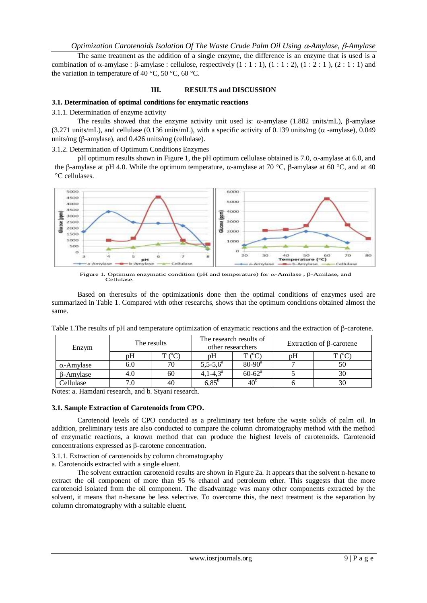The same treatment as the addition of a single enzyme, the difference is an enzyme that is used is a combination of  $\alpha$ -amylase :  $\beta$ -amylase : cellulose, respectively  $(1 : 1 : 1)$ ,  $(1 : 1 : 2)$ ,  $(1 : 2 : 1)$ ,  $(2 : 1 : 1)$  and the variation in temperature of 40 °C, 50 °C, 60 °C.

# **III. RESULTS and DISCUSSION**

# **3.1. Determination of optimal conditions for enzymatic reactions**

3.1.1. Determination of enzyme activity

The results showed that the enzyme activity unit used is:  $\alpha$ -amylase (1.882 units/mL),  $\beta$ -amylase  $(3.271 \text{ units/mL})$ , and cellulase  $(0.136 \text{ units/mL})$ , with a specific activity of 0.139 units/mg ( $\alpha$ -amylase), 0.049 units/mg ( $\beta$ -amylase), and 0.426 units/mg (cellulase).

3.1.2. Determination of Optimum Conditions Enzymes

pH optimum results shown in Figure 1, the pH optimum cellulase obtained is 7.0,  $\alpha$ -amylase at 6.0, and the 6-amylase at pH 4.0. While the optimum temperature,  $\alpha$ -amylase at 70 °C, 6-amylase at 60 °C, and at 40 C cellulases.



Figure 1. Optimum enzymatic condition (pH and temperature) for  $\alpha$ -Amilase,  $\beta$ -Amilase, and Cellulase.

Based on theresults of the optimizationis done then the optimal conditions of enzymes used are summarized in Table 1. Compared with other researchs, shows that the optimum conditions obtained almost the same.

| Enzym             | The results |             | The research results of<br>other researchers |                   | Extraction of $\beta$ -carotene |    |
|-------------------|-------------|-------------|----------------------------------------------|-------------------|---------------------------------|----|
|                   | pΗ          | $C^{\circ}$ | рH                                           | $T'^o$ $C^o$      | рH                              |    |
| $\alpha$ -Amylase | 6.0         | 70          | $5,5-5,6^a$                                  | $80 - 90^{\circ}$ |                                 | 50 |
| <b>B-Amylase</b>  | 4.0         | 60          | $4.1 - 4.3^{\circ}$                          | $60 - 62^a$       |                                 | 30 |
| Cellulase         |             | 40          | $5.85^{\circ}$                               | $40^{\circ}$      |                                 | 30 |

Table 1. The results of pH and temperature optimization of enzymatic reactions and the extraction of B-carotene.

Notes: a. Hamdani research, and b. Styani research.

# **3.1. Sample Extraction of Carotenoids from CPO.**

Carotenoid levels of CPO conducted as a preliminary test before the waste solids of palm oil. In addition, preliminary tests are also conducted to compare the column chromatography method with the method of enzymatic reactions, a known method that can produce the highest levels of carotenoids. Carotenoid concentrations expressed as  $\beta$ -carotene concentration.

3.1.1. Extraction of carotenoids by column chromatography

a. Carotenoids extracted with a single eluent.

The solvent extraction carotenoid results are shown in Figure 2a. It appears that the solvent n-hexane to extract the oil component of more than 95 % ethanol and petroleum ether. This suggests that the more carotenoid isolated from the oil component. The disadvantage was many other components extracted by the solvent, it means that n-hexane be less selective. To overcome this, the next treatment is the separation by column chromatography with a suitable eluent.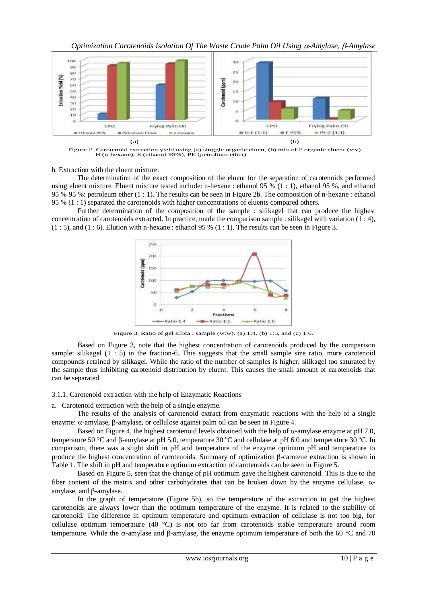

Figure 2. Carotenoid extraction yield using (a) singgle organic eluen, (b) mix of 2 organic eluent (v:v). H (n-hexane), E (ethanol 95%), PE (petrolium ether)

b. Extraction with the eluent mixture.

The determination of the exact composition of the eluent for the separation of carotenoids performed using eluent mixture. Eluent mixture tested include: n-hexane : ethanol 95 % (1 : 1), ethanol 95 %, and ethanol 95 % 95 %: petroleum ether (1 : 1). The results can be seen in Figure 2b. The composition of n-hexane : ethanol 95 % (1 : 1) separated the carotenoids with higher concentrations of eluents compared others.

Further determination of the composition of the sample : silikagel that can produce the highest concentration of carotenoids extracted. In practice, made the comparison sample : silikagel with variation (1 : 4),  $(1:5)$ , and  $(1:6)$ . Elution with n-hexane : ethanol 95 %  $(1:1)$ . The results can be seen in Figure 3.



Figure 3. Ratio of gel silica : sample (w:w). (a) 1:4, (b) 1:5, and (c) 1:6.

Based on Figure 3, note that the highest concentration of carotenoids produced by the comparison sample: silikagel  $(1 : 5)$  in the fraction-6. This suggests that the small sample size ratio, more carotenoid compounds retained by silikagel. While the ratio of the number of samples is higher, silikagel too saturated by the sample thus inhibiting carotenoid distribution by eluent. This causes the small amount of carotenoids that can be separated.

3.1.1. Carotenoid extraction with the help of Enzymatic Reactions

a. Carotenoid extraction with the help of a single enzyme.

The results of the analysis of carotenoid extract from enzymatic reactions with the help of a single enzyme:  $\alpha$ -amylase,  $\beta$ -amylase, or cellulose against palm oil can be seen in Figure 4.

Based on Figure 4, the highest carotenoid levels obtained with the help of  $\alpha$ -amylase enzyme at pH 7.0, temperature 50 °C and  $\beta$ -amylase at pH 5.0, temperature 30 °C and cellulase at pH 6.0 and temperature 30 °C. In comparison, there was a slight shift in pH and temperature of the enzyme optimum pH and temperature to produce the highest concentration of carotenoids. Summary of optimization  $\beta$ -carotene extraction is shown in Table 1. The shift in pH and temperature optimum extraction of carotenoids can be seen in Figure 5.

Based on Figure 5, seen that the change of pH optimum gave the highest carotenoid. This is due to the fiber content of the matrix and other carbohydrates that can be broken down by the enzyme cellulase,  $\alpha$ amylase, and  $\beta$ -amylase.

In the graph of temperature (Figure 5b), so the temperature of the extraction to get the highest carotenoids are always lower than the optimum temperature of the enzyme. It is related to the stability of carotenoid. The difference in optimum temperature and optimum extraction of cellulase is not too big, for cellulase optimum temperature (40  $^{\circ}$ C) is not too far from carotenoids stable temperature around room temperature. While the  $\alpha$ -amylase and  $\beta$ -amylase, the enzyme optimum temperature of both the 60 °C and 70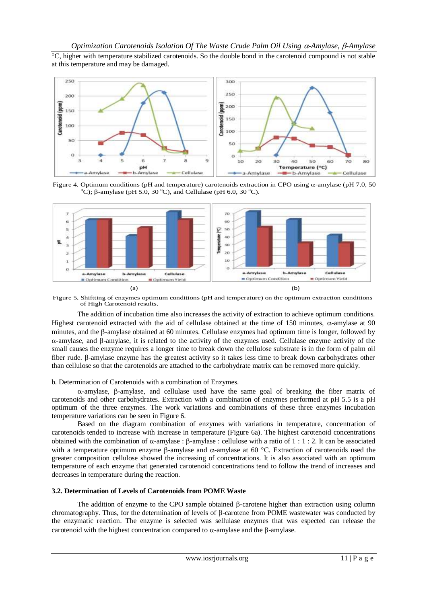<sup>o</sup>C, higher with temperature stabilized carotenoids. So the double bond in the carotenoid compound is not stable at this temperature and may be damaged.



Figure 4. Optimum conditions (pH and temperature) carotenoids extraction in CPO using  $\alpha$ -amylase (pH 7.0, 50  $\rm^{\circ}C$ );  $\beta$ -amylase (pH 5.0, 30  $\rm^{\circ}C$ ), and Cellulase (pH 6.0, 30  $\rm^{\circ}C$ ).



Figure 5**.** Shiftting of enzymes optimum conditions (pH and temperature) on the optimum extraction conditions of High Carotenoid results.

The addition of incubation time also increases the activity of extraction to achieve optimum conditions. Highest carotenoid extracted with the aid of cellulase obtained at the time of 150 minutes,  $\alpha$ -amylase at 90 minutes, and the  $\beta$ -amylase obtained at 60 minutes. Cellulase enzymes had optimum time is longer, followed by  $\alpha$ -amylase, and  $\beta$ -amylase, it is related to the activity of the enzymes used. Cellulase enzyme activity of the small causes the enzyme requires a longer time to break down the cellulose substrate is in the form of palm oil fiber rude. B-amylase enzyme has the greatest activity so it takes less time to break down carbohydrates other than cellulose so that the carotenoids are attached to the carbohydrate matrix can be removed more quickly.

## b. Determination of Carotenoids with a combination of Enzymes.

 $\alpha$ -amylase,  $\beta$ -amylase, and cellulase used have the same goal of breaking the fiber matrix of carotenoids and other carbohydrates. Extraction with a combination of enzymes performed at pH 5.5 is a pH optimum of the three enzymes. The work variations and combinations of these three enzymes incubation temperature variations can be seen in Figure 6.

Based on the diagram combination of enzymes with variations in temperature, concentration of carotenoids tended to increase with increase in temperature (Figure 6a). The highest carotenoid concentrations obtained with the combination of  $\alpha$ -amylase :  $\beta$ -amylase : cellulose with a ratio of 1 : 1 : 2. It can be associated with a temperature optimum enzyme  $\beta$ -amylase and  $\alpha$ -amylase at 60 °C. Extraction of carotenoids used the greater composition cellulose showed the increasing of concentrations. It is also associated with an optimum temperature of each enzyme that generated carotenoid concentrations tend to follow the trend of increases and decreases in temperature during the reaction.

## **3.2. Determination of Levels of Carotenoids from POME Waste**

The addition of enzyme to the CPO sample obtained  $\beta$ -carotene higher than extraction using column chromatography. Thus, for the determination of levels of  $\beta$ -carotene from POME wastewater was conducted by the enzymatic reaction. The enzyme is selected was sellulase enzymes that was espected can release the carotenoid with the highest concentration compared to  $\alpha$ -amylase and the B-amylase.